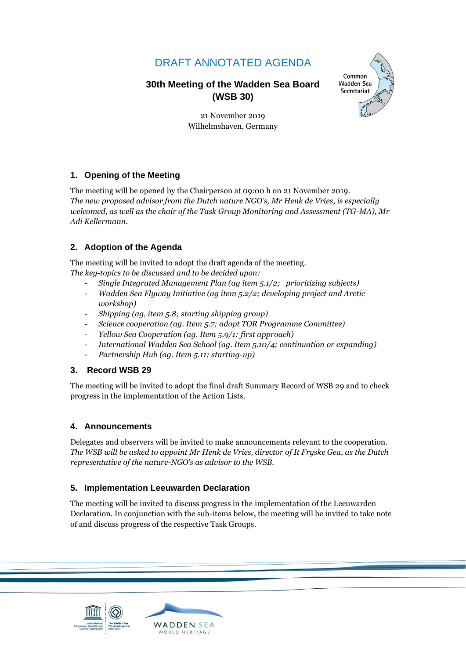# DRAFT ANNOTATED AGENDA

# **30th Meeting of the Wadden Sea Board (WSB 30)**



21 November 2019 Wilhelmshaven, Germany

# **1. Opening of the Meeting**

The meeting will be opened by the Chairperson at 09:00 h on 21 November 2019. *The new proposed advisor from the Dutch nature NGO's, Mr Henk de Vries, is especially welcomed, as well as the chair of the Task Group Monitoring and Assessment (TG-MA), Mr Adi Kellermann.* 

## **2. Adoption of the Agenda**

The meeting will be invited to adopt the draft agenda of the meeting.

*The key-topics to be discussed and to be decided upon:*

- *Single Integrated Management Plan (ag item 5.1/2; prioritizing subjects)*
- *Wadden Sea Flyway Initiative (ag item 5.2/2; developing project and Arctic workshop)*
- *Shipping (ag, item 5.8; starting shipping group)*
- *Science cooperation (ag. Item 5.7; adopt TOR Programme Committee)*
- *Yellow Sea Cooperation (ag. Item 5.9/1: first approach)*
- *International Wadden Sea School (ag. Item 5.10/4; continuation or expanding)*
- *Partnership Hub (ag. Item 5.11; starting-up)*

## **3. Record WSB 29**

The meeting will be invited to adopt the final draft Summary Record of WSB 29 and to check progress in the implementation of the Action Lists.

## **4. Announcements**

Delegates and observers will be invited to make announcements relevant to the cooperation. *The WSB will be asked to appoint Mr Henk de Vries, director of It Fryske Gea, as the Dutch representative of the nature-NGO's as advisor to the WSB.*

## **5. Implementation Leeuwarden Declaration**

The meeting will be invited to discuss progress in the implementation of the Leeuwarden Declaration. In conjunction with the sub-items below, the meeting will be invited to take note of and discuss progress of the respective Task Groups.

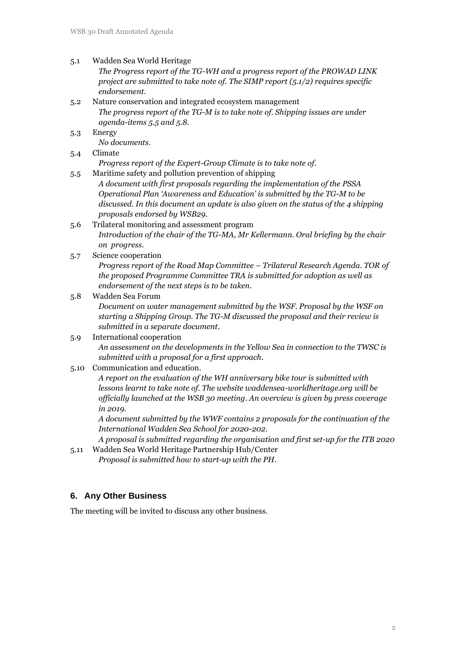#### 5.1 Wadden Sea World Heritage

*The Progress report of the TG-WH and a progress report of the PROWAD LINK project are submitted to take note of. The SIMP report (5.1/2) requires specific endorsement.* 

- 5.2 Nature conservation and integrated ecosystem management *The progress report of the TG-M is to take note of. Shipping issues are under agenda-items 5.5 and 5.8.*
- 5.3 Energy

*No documents*.

5.4 Climate

*Progress report of the Expert-Group Climate is to take note of*.

5.5 Maritime safety and pollution prevention of shipping

*A document with first proposals regarding the implementation of the PSSA Operational Plan 'Awareness and Education' is submitted by the TG-M to be discussed. In this document an update is also given on the status of the 4 shipping proposals endorsed by WSB29.*

- 5.6 Trilateral monitoring and assessment program *Introduction of the chair of the TG-MA, Mr Kellermann. Oral briefing by the chair on progress*.
- 5.7 Science cooperation

*Progress report of the Road Map Committee – Trilateral Research Agenda. TOR of the proposed Programme Committee TRA is submitted for adoption as well as endorsement of the next steps is to be taken*.

#### 5.8 Wadden Sea Forum

*Document on water management submitted by the WSF. Proposal by the WSF on starting a Shipping Group. The TG-M discussed the proposal and their review is submitted in a separate document*.

- 5.9 International cooperation *An assessment on the developments in the Yellow Sea in connection to the TWSC is submitted with a proposal for a first approach*.
- 5.10 Communication and education.

*A report on the evaluation of the WH anniversary bike tour is submitted with lessons learnt to take note of. The website waddensea-worldheritage.org will be officially launched at the WSB 30 meeting. An overview is given by press coverage in 2019*.

*A document submitted by the WWF contains 2 proposals for the continuation of the International Wadden Sea School for 2020-202.*

*A proposal is submitted regarding the organisation and first set-up for the ITB 2020* 5.11 Wadden Sea World Heritage Partnership Hub/Center

*Proposal is submitted how to start-up with the PH*.

#### **6. Any Other Business**

The meeting will be invited to discuss any other business.